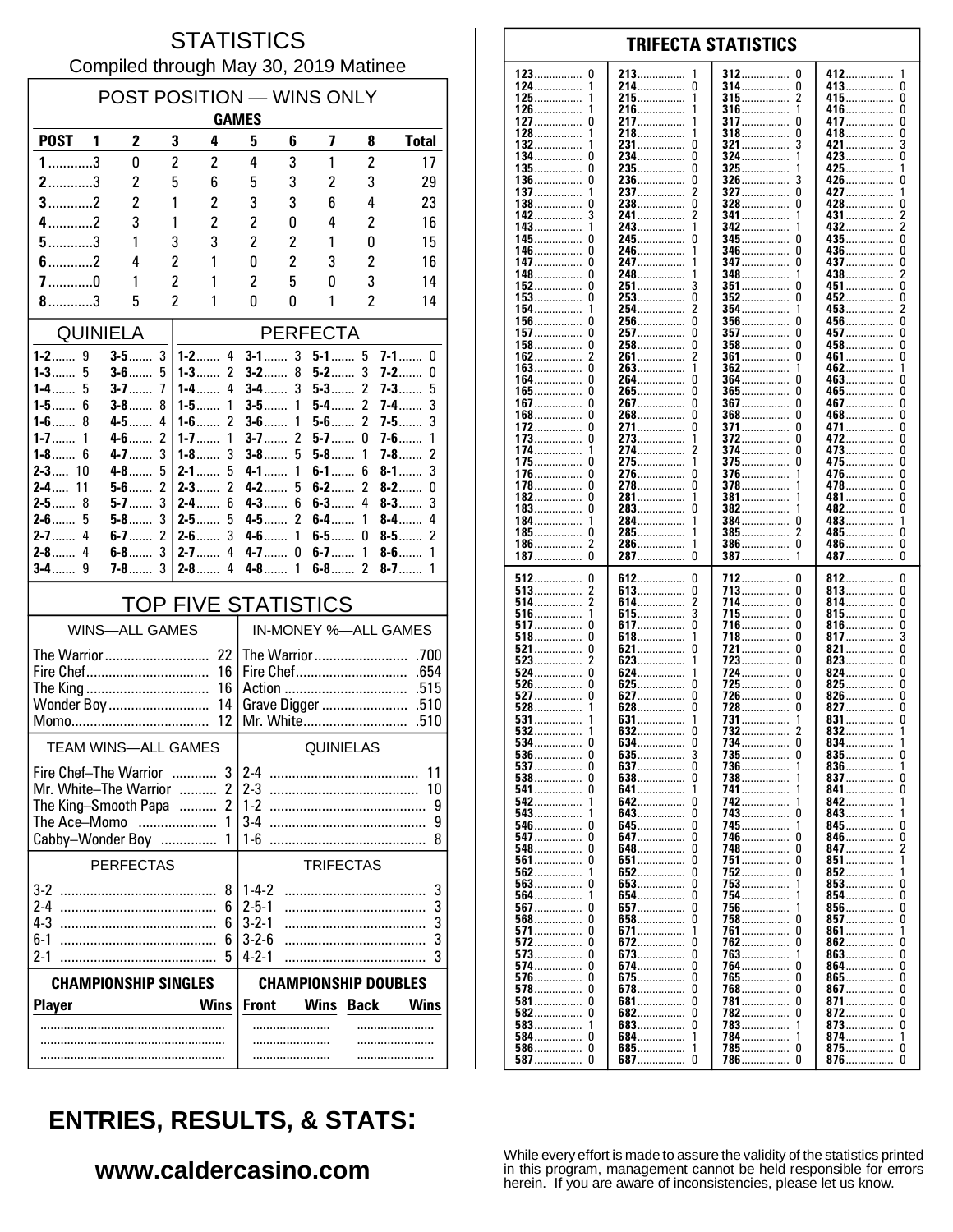#### **STATISTICS** Compiled through May 30, 2019 Matinee

| POST POSITION - WINS ONLY                              |                                                            |                       |                                  |                                   |                            |                     |                    |                              |                          |
|--------------------------------------------------------|------------------------------------------------------------|-----------------------|----------------------------------|-----------------------------------|----------------------------|---------------------|--------------------|------------------------------|--------------------------|
|                                                        | <b>GAMES</b>                                               |                       |                                  |                                   |                            |                     |                    |                              |                          |
| <b>POST</b>                                            | 1                                                          | 2                     | 3                                | 4                                 | 5                          | 6                   | 7                  | 8                            | <b>Total</b>             |
| $1$ 3                                                  |                                                            | 0                     | $\overline{c}$                   | 2                                 | 4                          | 3                   | 1                  | $\overline{c}$               | 17                       |
| $2$ 3                                                  |                                                            | 2                     | 5                                | 6                                 | 5                          | 3                   | $\overline{c}$     | 3                            | 29                       |
| $3$ 2                                                  |                                                            | $\overline{c}$        | 1                                | $\overline{c}$                    | 3                          | 3                   | 6                  | 4                            | 23                       |
| $4$ 2                                                  |                                                            | 3                     | 1                                | 2                                 | 2                          | 0                   | 4                  | 2                            | 16                       |
| $5$ 3                                                  |                                                            | 1                     | 3                                | 3                                 | 2                          | 2                   | 1                  | 0                            | 15                       |
| $6$ 2                                                  |                                                            | 4                     | $\overline{2}$                   | 1                                 | 0                          | 2                   | 3                  | 2                            | 16                       |
| $7$ 0<br>$8$ 3                                         |                                                            | 1<br>5                | $\overline{c}$<br>$\overline{2}$ | 1<br>1                            | 2<br>0                     | 5<br>0              | 0<br>1             | 3<br>$\overline{\mathbf{c}}$ | 14<br>14                 |
|                                                        |                                                            |                       |                                  |                                   |                            |                     |                    |                              |                          |
|                                                        |                                                            | <b>QUINIELA</b>       |                                  |                                   |                            |                     | <b>PERFECTA</b>    |                              |                          |
| 1-3…….                                                 | 5                                                          | $3-5$<br>$3-6$        | 3<br>5                           | $1 - 2$ 4<br>$1 - 3$<br>2         | $3-1$<br>$3-2$             | 3<br>8              | $5 - 1$ 5<br>$5-2$ | 3                            | $7-1$<br>0<br>7-2……<br>0 |
| 1-4……                                                  | 5                                                          | $3 - 7$               | 7                                | 1-4……<br>4                        | <b>3-4</b>                 | 3                   | $5-3$              | 2                            | 7-3……<br>5               |
| $1 - 5$ 6                                              |                                                            | $3-8$                 | 8                                | 1<br>$1-5$                        | $3-5$                      | 1                   | $5-4$              | 2                            | 3<br>7-4                 |
| $1-6$                                                  | 8<br>1                                                     | $4 - 5$               | 4<br>$\overline{2}$              | $\overline{\phantom{a}}$<br>$1-6$ | $3-6$                      | 1<br>$\overline{2}$ | $5-6$<br>$5-7$     | $\mathfrak z$                | 3<br>$7-5$<br>1          |
| $1 - 7$<br>$1 - 8$ 6                                   |                                                            | $4-6$<br>4-7          | 3                                | $1 - 7$<br>1<br>3<br>1-8……        | $3-7$<br>$3-8$             | 5                   | 5-8                | 0<br>1                       | $7 - 6$<br>2<br>$7-8$    |
| $2 - 3$ 10                                             |                                                            | $4 - 8$               | 5                                | $2 - 1$<br>5                      | 4-1                        | 1                   | $6-1$              | 6                            | 3<br>$8 - 1$             |
| $2 - 4$                                                | 11                                                         | $5-6$                 | $\overline{c}$                   | $\mathfrak z$<br>$2-3$            | $4-2$                      | 5                   | $6-2$              | $\mathfrak z$                | $8-2$<br>0               |
| $2 - 5$ 8<br>$2-6$                                     | 5                                                          | $5-7$<br>$5-8$        | 3<br>3                           | $2 - 4$<br>6<br>$2-5$<br>5        | $4 - 3$<br>4-5……           | 6<br>2              | $6-3$<br>$6-4$     | 4<br>1                       | 3<br>$8-3$<br>4<br>$8-4$ |
| $2 - 7$                                                | 4                                                          | $6-7$                 | $\overline{2}$                   | 3<br>$2-6$                        | $4 - 6$                    | 1                   | 6-5……              | 0                            | 2<br>$8-5$               |
| $2 - 8$ 4                                              |                                                            | $6-8$                 | 3                                | 4<br>$2 - 7$                      | $4 - 7$                    | 0                   | $6-7$              | 1                            | $8 - 6$<br>1             |
| $3-4$                                                  | 9                                                          | <b>7-8</b>            | 3                                | $2-8$<br>4                        | $4-8$                      | 1                   | $6-8$              | $\overline{c}$               | $8 - 7$<br>1             |
|                                                        |                                                            |                       |                                  | <b>TOP FIVE STATISTICS</b>        |                            |                     |                    |                              |                          |
|                                                        |                                                            | <b>WINS-ALL GAMES</b> |                                  |                                   | IN-MONEY %-ALL GAMES       |                     |                    |                              |                          |
|                                                        |                                                            | The Warrior           |                                  | 22                                |                            |                     | The Warrior        |                              | .700                     |
|                                                        |                                                            | Fire Chef             |                                  | 16                                |                            |                     |                    |                              | .654                     |
|                                                        |                                                            | The King              |                                  | 16<br>14                          |                            |                     | Action             |                              | .515                     |
| Wonder Boy<br>12<br>Mr. White<br>.510                  |                                                            |                       |                                  |                                   |                            |                     |                    |                              |                          |
| <b>TEAM WINS-ALL GAMES</b>                             |                                                            |                       |                                  |                                   | <b>QUINIELAS</b>           |                     |                    |                              |                          |
|                                                        |                                                            | Fire Chef-The Warrior |                                  | 3 <sup>1</sup>                    | $2 - 4$                    |                     |                    |                              | 11                       |
|                                                        |                                                            | Mr. White-The Warrior |                                  | $\overline{2}$                    | $2-3$                      |                     |                    |                              | 10                       |
| $\overline{2}$<br>The King-Smooth Papa<br>The Ace-Momo |                                                            |                       |                                  |                                   | $1-2$<br>9                 |                     |                    |                              |                          |
|                                                        |                                                            | Cabby-Wonder Boy      |                                  | 1<br>1                            | $3-4$<br>1-6               |                     |                    |                              | 9<br>8                   |
|                                                        |                                                            | <b>PERFECTAS</b>      |                                  |                                   |                            |                     | <b>TRIFECTAS</b>   |                              |                          |
| $3-2$<br>8                                             |                                                            |                       |                                  |                                   | $1-4-2$                    |                     |                    |                              | 3                        |
| $2-4$                                                  |                                                            |                       |                                  | 6                                 | $2 - 5 - 1$                |                     |                    |                              | 3                        |
| $4-3$                                                  |                                                            |                       |                                  |                                   | $3 - 2 - 1$                |                     |                    |                              | 3                        |
| 6-1<br>$2-1$                                           |                                                            |                       |                                  | 6                                 | $3 - 2 - 6$<br>$4 - 2 - 1$ |                     |                    |                              | 3<br>3                   |
|                                                        | <b>CHAMPIONSHIP DOUBLES</b><br><b>CHAMPIONSHIP SINGLES</b> |                       |                                  |                                   |                            |                     |                    |                              |                          |
| <b>Player</b>                                          |                                                            |                       |                                  | <b>Wins</b>                       | <b>Front</b>               |                     | Wins               | <b>Back</b>                  | Wins                     |
|                                                        |                                                            |                       |                                  |                                   |                            |                     |                    |                              |                          |
|                                                        |                                                            |                       |                                  |                                   |                            | .                   |                    |                              |                          |
|                                                        |                                                            |                       |                                  |                                   |                            |                     |                    |                              |                          |

| 123<br>0     | 213             | 312<br>U    | 412           |
|--------------|-----------------|-------------|---------------|
| 124……………     | 214……………        | 314         | 413           |
|              | 0               | 0           | 0             |
| $125$        | 215……………        | $315$<br>2  | 415<br>0      |
| 126……………     | 216……………        | 316……………    | 416……………      |
| 1            |                 | 1           | 0             |
|              |                 |             |               |
| 127          | 217             | <b>317</b>  | 417……………      |
| 0            |                 | 0           | 0             |
| 128          | 218……………        | 318……………    | 418           |
| 1            | 1               | 0           | 0             |
| 132          | 231……………        | 321         | 421           |
| 1            | 0               | 3           | 3             |
|              |                 |             |               |
| 134          | 234……………        | 324……………    | 423           |
| 0            | 0               | 1           | 0             |
| 135          | 235……………        | <b>325</b>  | 425……………      |
| 0            | 0               |             | 1             |
| 136          | 236……………        | 326……………    | 426           |
| 0            | 0               | 3           | 0             |
|              |                 |             |               |
| 137          | 2               | 327         | 427           |
| 1            | 237             | 0           | 1             |
| 138……………     | 238……………        | 328……………    | 428           |
| 0            | 0               | 0           | 0             |
| 142……………     | 2               | 341         | 431……………      |
| 3            | 241……………        | 1           | 2             |
|              |                 |             |               |
| 143          | 243             | 342         | 432           |
| 1            | 1               | 1           | 2             |
| 145……………  0  | 245             | 345         | 435……………      |
|              | 0               | 0           | 0             |
| 146……………     | 246             | 346……………    | 436           |
| 0            |                 | 0           | 0             |
|              |                 |             |               |
| 147……………     | 247             | 347         | 437           |
| 0            |                 | 0           | 0             |
| 148……………… 0  | 248……………        | 348         | 438           |
|              | 1               | 1           | 2             |
| 152……………… 0  | $251$           | 351         | 451           |
|              | 3               | 0           | 0             |
|              |                 |             |               |
| $153$        | 253<br>0        | 352         | 452<br>U      |
| 154……………     | 2               | 354……………    | 2             |
| 1            | 254……………        | 1           | 453……………      |
| $156$        | 256             | $356$       | 456           |
| 0            | 0               | 0           | 0             |
| 0            | 0               | 0           |               |
| <u> 157</u>  | 257             | <b>357</b>  | 457<br>0      |
| 158……………     | 258<br>0        | $358$       | 458<br>U      |
| 162          | 2               | 361         | 461           |
| 2            | 261             | 0           | 0             |
| 0            |                 |             |               |
| $163$        | 263             | 362         | 462<br>1      |
| 164          | 264……………        | 364         | 463           |
| 0            | 0               | 0           | 0             |
| 165          | 265             | $365$       | 465<br>U      |
| 0            | 0               | 0           | 0             |
| 167          | 267             | 367         | 467           |
| 168          | 268……………        | $368$       | 468           |
| 0            | 0               |             | 0             |
| 172          | 271             | 371         | 471           |
| 0            | 0               | 0           | 0             |
| 173<br>0     | 273             | 372         | 472<br>U      |
|              |                 |             |               |
| 174          | 2               | 374         | 473           |
| 1            | 274             | 0           | 0             |
| $175$        | 1               | $375$       | 475           |
| U            | 275             |             | 0             |
| 176……………     | 276……………        | 376         | 476……………      |
| 0            | 0               | 1           | 0             |
|              |                 |             |               |
| 178……………     | 278……………        | 378……………    | 478           |
| 0            | 0               | 1           | 0             |
| 182          | 281             | 381         | 481           |
| 0            | 1               | 1           | 0             |
| 183……………     | 283             | 382         | 482……………      |
| 0            | 0               | 1           | 0             |
|              |                 |             |               |
| 184          | 284……………        | 384……………    | 483           |
| 1            | 1               | 0           | 1             |
| 185……………     | 285……………        | $385$       | 485……………      |
| 0            | 1               | 2           | 0             |
| 2            | 1               | 386……………    | 486……………      |
| 186……………     | 286……………        | 0           | 0             |
|              |                 |             |               |
| 187……………     | 0               | 387         | 487           |
|              | 287             | 1           | 0             |
|              |                 |             |               |
|              |                 |             |               |
| - 0          | 0               | 0           |               |
| $512$        | 612             | 712         | 812<br>0      |
| $513$        | 613             | 713         | 813           |
|              | 0               | 0           | 0             |
| 514          | 2<br>614        | 714         | 814……………<br>0 |
| $516$        | 3               | 715         | 815           |
| 1            | $615$           |             | 0             |
|              |                 |             |               |
| 517          | <b>617</b>      | 716……………    | 816……………      |
| 0            | 0               | 0           | 0             |
| $518$        | 618             | 718         | 3             |
| 0            | 1               | 0           | 817……………      |
| 521          | 621             | 721         | 821           |
| 0            | 0               | 0           | 0             |
|              |                 |             |               |
| $523$        | 1               | 723         | 823           |
|              | 623             | 0           | 0             |
| 524          | 624             | 724……………    | 824……………      |
| 0            | 1               | 0           | 0             |
| $526$        | 625             | 725         | 825           |
| 0            | 0               | 0           | 0             |
| 0            | 0               | 0           | 0             |
| 527          | <b>627</b>      | 726         | 826           |
| 528          | $628$           | 728         | 827           |
|              | 0               | 0           | 0             |
| $531$        | 631             | 731         | 831……………      |
|              | 1               | 1           | 0             |
| $532$        | <b>632</b><br>0 | 732         | 832<br>1      |
| 534          | 634             | 734         | 1             |
| 0            | 0               | 0           |               |
|              |                 |             | 834           |
| 536          | $635$           | $735$       | $835$<br>0    |
| <b>537</b>   | <b>637</b>      | 736         | 836           |
| 0            | 0               | 1           | 1             |
|              | $638 \ldots$    | 738         | 837……………      |
|              | 0               | 1           | 0             |
|              |                 | 741         | U             |
|              | 641             |             | 841……………      |
| 542          | 642             | 742         | 842           |
| 543          | 643             | 743         | 843           |
| 1            | 0               | 0           | 1             |
|              | 0               |             | U             |
|              | 645             | 745         | 845           |
| <b>547</b> 0 | 647             | 746         | 846           |
|              | 0               | U           | U             |
|              | 648<br>0        | 748         | 847……………<br>2 |
|              | <b>651</b>      | 751         | 851           |
|              | 0               | 0           | 1             |
|              |                 |             |               |
| $562 \ldots$ | 652<br>0        | 752         | 852           |
|              | 653             | 753         | 853           |
|              | 0               | 1           | U             |
| 564          | 654<br>0        | 754         | 854<br>U      |
|              | 0               | 1           | U             |
|              | 657             | 756         | 856           |
|              | 658             | 758         | 857           |
|              | 0               | U           | U             |
|              | 671             | 761         | 861           |
|              | 1               | 0           | 1             |
|              | 0               |             |               |
| 572 0        | <b>672</b>      | 762         | 862<br>U      |
| <b>573</b> 0 | <b>673</b>      | 763         | 863           |
|              | 0               | 1           | U             |
| 574……………… 0  | 674<br>0        |             | 864<br>U      |
|              | 0               |             | U             |
|              | <b>675</b>      | 765  0      | $865 \ldots$  |
| <b>578</b> 0 | 678             | 768……………    | 867……………      |
|              | 0               | U           | U             |
|              | <b>681</b><br>0 | 781……………… 0 | 871<br>U      |
|              | 682<br>0        | 782……………  0 | 872<br>U      |
|              |                 |             |               |
| $583 \ldots$ | 683             | 783         | 873           |
| -1           | 0               | 1           | 0             |
| 584 0        | 684             | 784……………    | 874……………      |
|              | 1               | 1           | 1             |
|              | $685 \ldots$    | 785         | $875$         |
|              | 1               | 0           | 0             |
|              | <b>687</b>      | 786         | 876……………      |
|              | 0               | 0           | 0             |

**TRIFECTA STATISTICS** 

# **ENTRIES, RESULTS, & STATS:**

### www.caldercasino.com